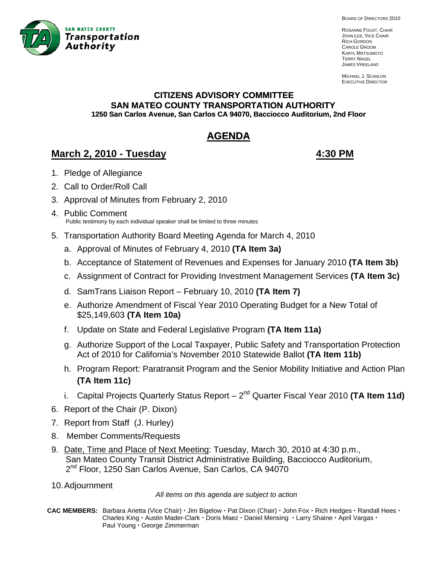

BOARD OF DIRECTORS 2010

ROSANNE FOUST, CHAIR JOHN LEE, VICE CHAIR RICH GORDON CAROLE GROOM KARYL MATSUMOTO TERRY NAGEL JAMES VREELAND

MICHAEL J. SCANLON EXECUTIVE DIRECTOR

# **CITIZENS ADVISORY COMMITTEE SAN MATEO COUNTY TRANSPORTATION AUTHORITY 1250 San Carlos Avenue, San Carlos CA 94070, Bacciocco Auditorium, 2nd Floor**

# **AGENDA**

## **March 2, 2010 - Tuesday 4:30 PM**

- 1. Pledge of Allegiance
- 2. Call to Order/Roll Call
- 3. A pproval of Minutes from February 2, 2010
- 4. Public Comment Public testimony by each individual speaker shall be limited to three minutes
- 5. Transportation Authority Board Meeting Agenda for March 4, 2010
	- a. Approval of Minutes of February 4, 2010 **(TA Item 3a)**
	- b. Acceptance of Statement of Revenues and Expenses for January 2010 **(TA Item 3b)**
	- c. Assignment of Contract for Providing Investment Management Services **(TA Item 3c)**
	- d. SamTrans Liaison Report February 10, 2010 **(TA Item 7)**
	- e. Authorize Amendment of Fiscal Year 2010 Operating Budget for a New Total of \$25,149,603 **(TA Item 10a)**
	- f. Update on State and Federal Legislative Program **(TA Item 11a)**
	- g. Authorize Support of the Local Taxpayer, Public Safety and Transportation Protection Act of 2010 for California's November 2010 Statewide Ballot **(TA Item 11b)**
	- h. Program Report: Paratransit Program and the Senior Mobility Initiative and Action Plan **(TA Item 11c)**
	- i. Capital Projects Quarterly Status Report 2<sup>nd</sup> Quarter Fiscal Year 2010 (TA Item 11d)
- 6. Report of the Chair (P. Dixon)
- 7. Report from Staff (J. Hurley)
- 8. Member Comments/Requests
- 9. Date, Time and Place of Next Meeting: Tuesday, March 30, 2010 at 4:30 p.m., San Mateo County Transit District Administrative Building, Bacciocco Auditorium, 2<sup>nd</sup> Floor, 1250 San Carlos Avenue, San Carlos, CA 94070
- 10. Adjournment

*All items on this agenda are subject to action* 

CAC MEMBERS: Barbara Arietta (Vice Chair) · Jim Bigelow · Pat Dixon (Chair) · John Fox · Rich Hedges · Randall Hees · **Charles King · Austin Mader-Clark · Doris Maez · Daniel Mensing · Larry Shaine · April Vargas ·** Paul Young · George Zimmerman